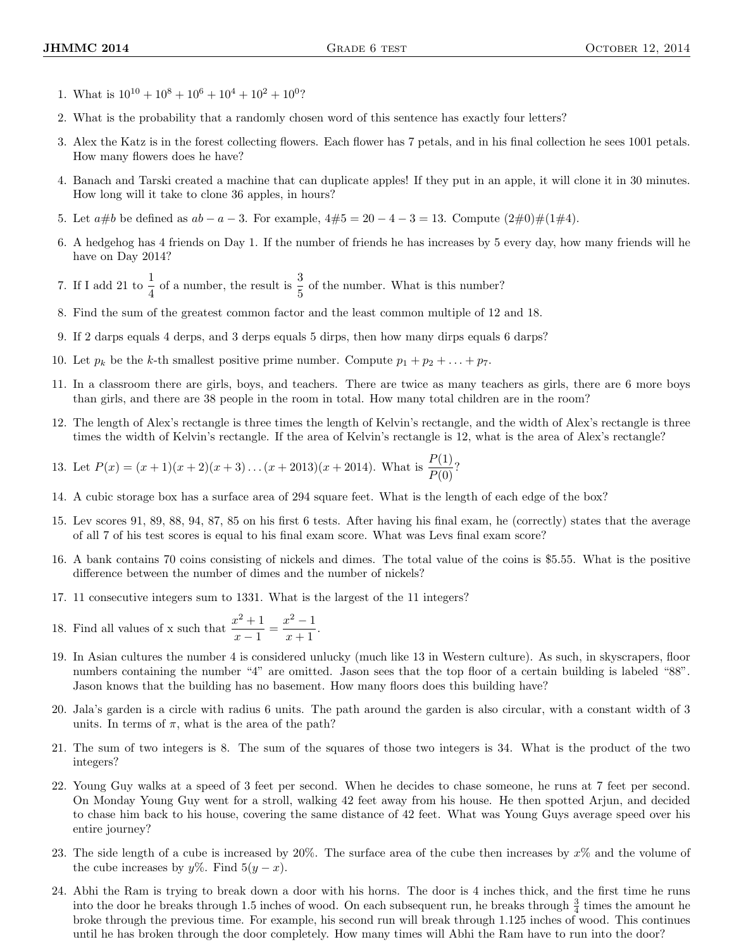- 1. What is  $10^{10} + 10^8 + 10^6 + 10^4 + 10^2 + 10^0$ ?
- 2. What is the probability that a randomly chosen word of this sentence has exactly four letters?
- 3. Alex the Katz is in the forest collecting flowers. Each flower has 7 petals, and in his final collection he sees 1001 petals. How many flowers does he have?
- 4. Banach and Tarski created a machine that can duplicate apples! If they put in an apple, it will clone it in 30 minutes. How long will it take to clone 36 apples, in hours?
- 5. Let  $a\#b$  be defined as  $ab a 3$ . For example,  $4\#5 = 20 4 3 = 13$ . Compute  $(2\#0)\#(1\#4)$ .
- 6. A hedgehog has 4 friends on Day 1. If the number of friends he has increases by 5 every day, how many friends will he have on Day 2014?
- 7. If I add 21 to  $\frac{1}{4}$  of a number, the result is  $\frac{3}{5}$  of the number. What is this number?
- 8. Find the sum of the greatest common factor and the least common multiple of 12 and 18.
- 9. If 2 darps equals 4 derps, and 3 derps equals 5 dirps, then how many dirps equals 6 darps?
- 10. Let  $p_k$  be the k-th smallest positive prime number. Compute  $p_1 + p_2 + \ldots + p_7$ .
- 11. In a classroom there are girls, boys, and teachers. There are twice as many teachers as girls, there are 6 more boys than girls, and there are 38 people in the room in total. How many total children are in the room?
- 12. The length of Alex's rectangle is three times the length of Kelvin's rectangle, and the width of Alex's rectangle is three times the width of Kelvin's rectangle. If the area of Kelvin's rectangle is 12, what is the area of Alex's rectangle?

13. Let 
$$
P(x) = (x + 1)(x + 2)(x + 3) \dots (x + 2013)(x + 2014)
$$
. What is  $\frac{P(1)}{P(0)}$ ?

- 14. A cubic storage box has a surface area of 294 square feet. What is the length of each edge of the box?
- 15. Lev scores 91, 89, 88, 94, 87, 85 on his first 6 tests. After having his final exam, he (correctly) states that the average of all 7 of his test scores is equal to his final exam score. What was Levs final exam score?
- 16. A bank contains 70 coins consisting of nickels and dimes. The total value of the coins is \$5.55. What is the positive difference between the number of dimes and the number of nickels?
- 17. 11 consecutive integers sum to 1331. What is the largest of the 11 integers?
- 18. Find all values of x such that  $\frac{x^2+1}{1}$  $\frac{x^2+1}{x-1} = \frac{x^2-1}{x+1}$  $\frac{x+1}{x+1}.$
- 19. In Asian cultures the number 4 is considered unlucky (much like 13 in Western culture). As such, in skyscrapers, floor numbers containing the number "4" are omitted. Jason sees that the top floor of a certain building is labeled "88". Jason knows that the building has no basement. How many floors does this building have?
- 20. Jala's garden is a circle with radius 6 units. The path around the garden is also circular, with a constant width of 3 units. In terms of  $\pi$ , what is the area of the path?
- 21. The sum of two integers is 8. The sum of the squares of those two integers is 34. What is the product of the two integers?
- 22. Young Guy walks at a speed of 3 feet per second. When he decides to chase someone, he runs at 7 feet per second. On Monday Young Guy went for a stroll, walking 42 feet away from his house. He then spotted Arjun, and decided to chase him back to his house, covering the same distance of 42 feet. What was Young Guys average speed over his entire journey?
- 23. The side length of a cube is increased by  $20\%$ . The surface area of the cube then increases by  $x\%$  and the volume of the cube increases by  $y\%$ . Find  $5(y - x)$ .
- 24. Abhi the Ram is trying to break down a door with his horns. The door is 4 inches thick, and the first time he runs into the door he breaks through 1.5 inches of wood. On each subsequent run, he breaks through  $\frac{3}{4}$  times the amount he broke through the previous time. For example, his second run will break through 1.125 inches of wood. This continues until he has broken through the door completely. How many times will Abhi the Ram have to run into the door?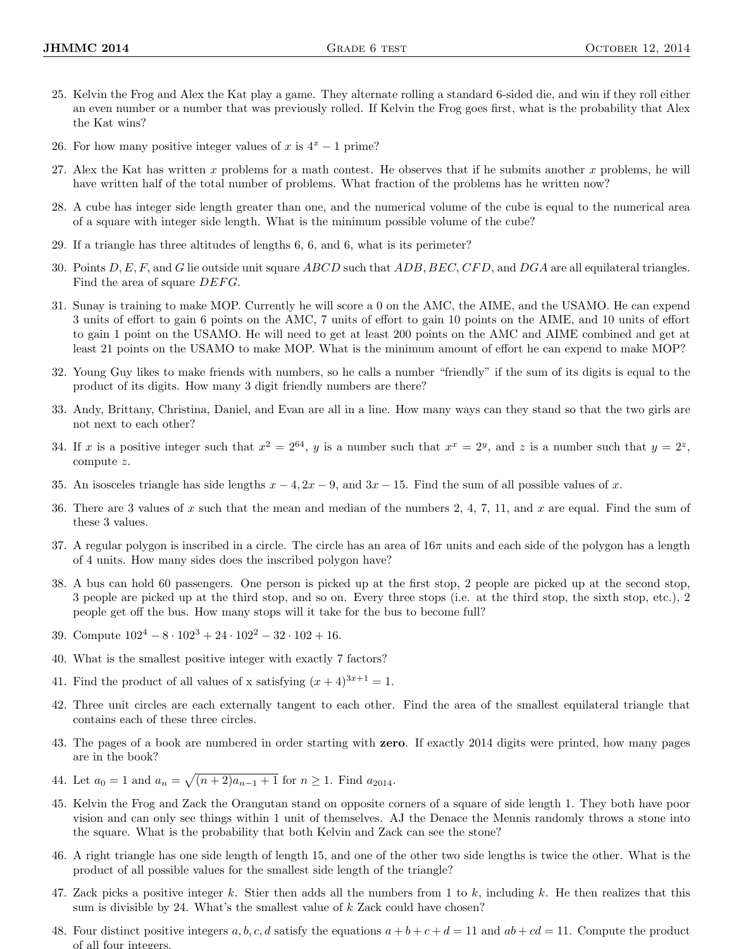- 25. Kelvin the Frog and Alex the Kat play a game. They alternate rolling a standard 6-sided die, and win if they roll either an even number or a number that was previously rolled. If Kelvin the Frog goes first, what is the probability that Alex the Kat wins?
- 26. For how many positive integer values of x is  $4^x 1$  prime?
- 27. Alex the Kat has written x problems for a math contest. He observes that if he submits another x problems, he will have written half of the total number of problems. What fraction of the problems has he written now?
- 28. A cube has integer side length greater than one, and the numerical volume of the cube is equal to the numerical area of a square with integer side length. What is the minimum possible volume of the cube?
- 29. If a triangle has three altitudes of lengths 6, 6, and 6, what is its perimeter?
- 30. Points  $D, E, F$ , and G lie outside unit square ABCD such that ADB, BEC, CFD, and DGA are all equilateral triangles. Find the area of square DEFG.
- 31. Sunay is training to make MOP. Currently he will score a 0 on the AMC, the AIME, and the USAMO. He can expend 3 units of effort to gain 6 points on the AMC, 7 units of effort to gain 10 points on the AIME, and 10 units of effort to gain 1 point on the USAMO. He will need to get at least 200 points on the AMC and AIME combined and get at least 21 points on the USAMO to make MOP. What is the minimum amount of effort he can expend to make MOP?
- 32. Young Guy likes to make friends with numbers, so he calls a number "friendly" if the sum of its digits is equal to the product of its digits. How many 3 digit friendly numbers are there?
- 33. Andy, Brittany, Christina, Daniel, and Evan are all in a line. How many ways can they stand so that the two girls are not next to each other?
- 34. If x is a positive integer such that  $x^2 = 2^{64}$ , y is a number such that  $x^x = 2^y$ , and z is a number such that  $y = 2^z$ , compute z.
- 35. An isosceles triangle has side lengths  $x 4$ ,  $2x 9$ , and  $3x 15$ . Find the sum of all possible values of x.
- 36. There are 3 values of x such that the mean and median of the numbers  $2, 4, 7, 11$ , and x are equal. Find the sum of these 3 values.
- 37. A regular polygon is inscribed in a circle. The circle has an area of  $16\pi$  units and each side of the polygon has a length of 4 units. How many sides does the inscribed polygon have?
- 38. A bus can hold 60 passengers. One person is picked up at the first stop, 2 people are picked up at the second stop, 3 people are picked up at the third stop, and so on. Every three stops (i.e. at the third stop, the sixth stop, etc.), 2 people get off the bus. How many stops will it take for the bus to become full?
- 39. Compute  $102^4 8 \cdot 102^3 + 24 \cdot 102^2 32 \cdot 102 + 16$ .
- 40. What is the smallest positive integer with exactly 7 factors?
- 41. Find the product of all values of x satisfying  $(x+4)^{3x+1} = 1$ .
- 42. Three unit circles are each externally tangent to each other. Find the area of the smallest equilateral triangle that contains each of these three circles.
- 43. The pages of a book are numbered in order starting with zero. If exactly 2014 digits were printed, how many pages are in the book?
- 44. Let  $a_0 = 1$  and  $a_n = \sqrt{(n+2)a_{n-1}+1}$  for  $n \ge 1$ . Find  $a_{2014}$ .
- 45. Kelvin the Frog and Zack the Orangutan stand on opposite corners of a square of side length 1. They both have poor vision and can only see things within 1 unit of themselves. AJ the Denace the Mennis randomly throws a stone into the square. What is the probability that both Kelvin and Zack can see the stone?
- 46. A right triangle has one side length of length 15, and one of the other two side lengths is twice the other. What is the product of all possible values for the smallest side length of the triangle?
- 47. Zack picks a positive integer k. Stier then adds all the numbers from 1 to k, including k. He then realizes that this sum is divisible by 24. What's the smallest value of  $k$  Zack could have chosen?
- 48. Four distinct positive integers a, b, c, d satisfy the equations  $a + b + c + d = 11$  and  $ab + cd = 11$ . Compute the product of all four integers.